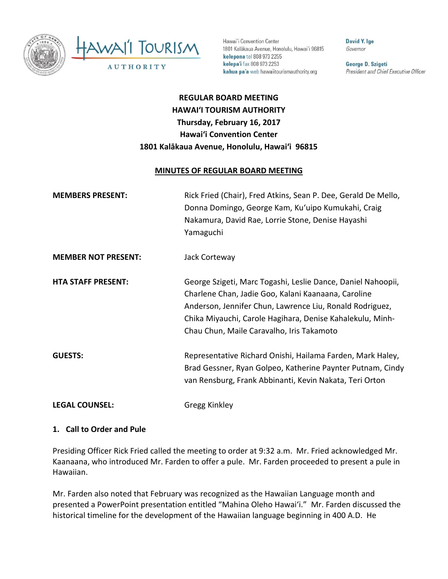

Hawai'i Convention Center 1801 Kalākaua Avenue, Honolulu, Hawai'i 96815 kelepona tel 808 973 2255 kelepa'i fax 808 973 2253 kahua pa'a web hawaiitourismauthority.org

**David Y. Ige** Governor

George D. Szigeti President and Chief Executive Officer

# **REGULAR BOARD MEETING HAWAI'I TOURISM AUTHORITY Thursday, February 16, 2017 Hawai'i Convention Center 1801 Kalākaua Avenue, Honolulu, Hawai'i 96815**

#### **MINUTES OF REGULAR BOARD MEETING**

| <b>MEMBERS PRESENT:</b>    | Rick Fried (Chair), Fred Atkins, Sean P. Dee, Gerald De Mello,<br>Donna Domingo, George Kam, Ku'uipo Kumukahi, Craig<br>Nakamura, David Rae, Lorrie Stone, Denise Hayashi<br>Yamaguchi                                                                                                    |
|----------------------------|-------------------------------------------------------------------------------------------------------------------------------------------------------------------------------------------------------------------------------------------------------------------------------------------|
| <b>MEMBER NOT PRESENT:</b> | Jack Corteway                                                                                                                                                                                                                                                                             |
| <b>HTA STAFF PRESENT:</b>  | George Szigeti, Marc Togashi, Leslie Dance, Daniel Nahoopii,<br>Charlene Chan, Jadie Goo, Kalani Kaanaana, Caroline<br>Anderson, Jennifer Chun, Lawrence Liu, Ronald Rodriguez,<br>Chika Miyauchi, Carole Hagihara, Denise Kahalekulu, Minh-<br>Chau Chun, Maile Caravalho, Iris Takamoto |
| <b>GUESTS:</b>             | Representative Richard Onishi, Hailama Farden, Mark Haley,<br>Brad Gessner, Ryan Golpeo, Katherine Paynter Putnam, Cindy<br>van Rensburg, Frank Abbinanti, Kevin Nakata, Teri Orton                                                                                                       |
| <b>LEGAL COUNSEL:</b>      | Gregg Kinkley                                                                                                                                                                                                                                                                             |

#### **1. Call to Order and Pule**

Presiding Officer Rick Fried called the meeting to order at 9:32 a.m. Mr. Fried acknowledged Mr. Kaanaana, who introduced Mr. Farden to offer a pule. Mr. Farden proceeded to present a pule in Hawaiian.

Mr. Farden also noted that February was recognized as the Hawaiian Language month and presented a PowerPoint presentation entitled "Mahina Oleho Hawai'i." Mr. Farden discussed the historical timeline for the development of the Hawaiian language beginning in 400 A.D. He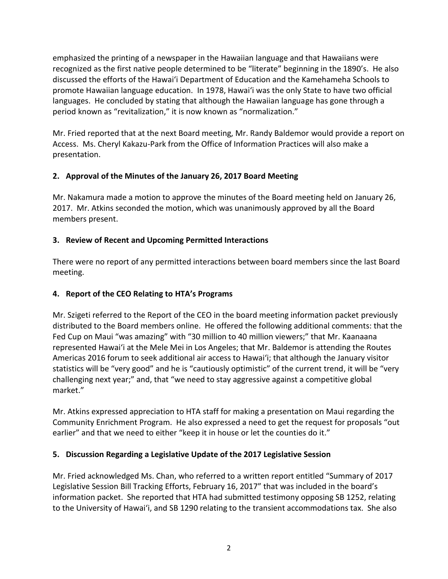emphasized the printing of a newspaper in the Hawaiian language and that Hawaiians were recognized as the first native people determined to be "literate" beginning in the 1890's. He also discussed the efforts of the Hawai'i Department of Education and the Kamehameha Schools to promote Hawaiian language education. In 1978, Hawai'i was the only State to have two official languages. He concluded by stating that although the Hawaiian language has gone through a period known as "revitalization," it is now known as "normalization."

Mr. Fried reported that at the next Board meeting, Mr. Randy Baldemor would provide a report on Access. Ms. Cheryl Kakazu-Park from the Office of Information Practices will also make a presentation.

# **2. Approval of the Minutes of the January 26, 2017 Board Meeting**

Mr. Nakamura made a motion to approve the minutes of the Board meeting held on January 26, 2017. Mr. Atkins seconded the motion, which was unanimously approved by all the Board members present.

# **3. Review of Recent and Upcoming Permitted Interactions**

There were no report of any permitted interactions between board members since the last Board meeting.

# **4. Report of the CEO Relating to HTA's Programs**

Mr. Szigeti referred to the Report of the CEO in the board meeting information packet previously distributed to the Board members online. He offered the following additional comments: that the Fed Cup on Maui "was amazing" with "30 million to 40 million viewers;" that Mr. Kaanaana represented Hawai'i at the Mele Mei in Los Angeles; that Mr. Baldemor is attending the Routes Americas 2016 forum to seek additional air access to Hawai'i; that although the January visitor statistics will be "very good" and he is "cautiously optimistic" of the current trend, it will be "very challenging next year;" and, that "we need to stay aggressive against a competitive global market."

Mr. Atkins expressed appreciation to HTA staff for making a presentation on Maui regarding the Community Enrichment Program. He also expressed a need to get the request for proposals "out earlier" and that we need to either "keep it in house or let the counties do it."

### **5. Discussion Regarding a Legislative Update of the 2017 Legislative Session**

Mr. Fried acknowledged Ms. Chan, who referred to a written report entitled "Summary of 2017 Legislative Session Bill Tracking Efforts, February 16, 2017" that was included in the board's information packet. She reported that HTA had submitted testimony opposing SB 1252, relating to the University of Hawai'i, and SB 1290 relating to the transient accommodations tax. She also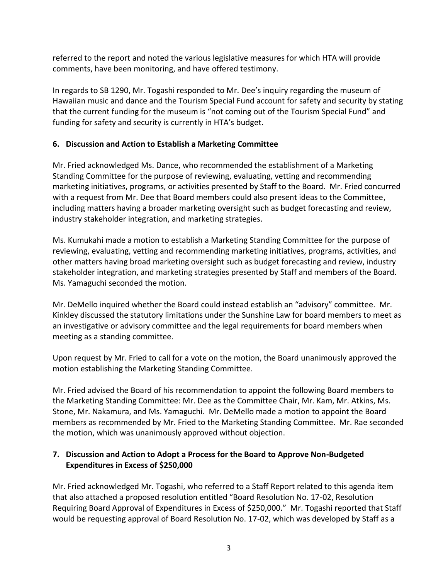referred to the report and noted the various legislative measures for which HTA will provide comments, have been monitoring, and have offered testimony.

In regards to SB 1290, Mr. Togashi responded to Mr. Dee's inquiry regarding the museum of Hawaiian music and dance and the Tourism Special Fund account for safety and security by stating that the current funding for the museum is "not coming out of the Tourism Special Fund" and funding for safety and security is currently in HTA's budget.

# **6. Discussion and Action to Establish a Marketing Committee**

Mr. Fried acknowledged Ms. Dance, who recommended the establishment of a Marketing Standing Committee for the purpose of reviewing, evaluating, vetting and recommending marketing initiatives, programs, or activities presented by Staff to the Board. Mr. Fried concurred with a request from Mr. Dee that Board members could also present ideas to the Committee, including matters having a broader marketing oversight such as budget forecasting and review, industry stakeholder integration, and marketing strategies.

Ms. Kumukahi made a motion to establish a Marketing Standing Committee for the purpose of reviewing, evaluating, vetting and recommending marketing initiatives, programs, activities, and other matters having broad marketing oversight such as budget forecasting and review, industry stakeholder integration, and marketing strategies presented by Staff and members of the Board. Ms. Yamaguchi seconded the motion.

Mr. DeMello inquired whether the Board could instead establish an "advisory" committee. Mr. Kinkley discussed the statutory limitations under the Sunshine Law for board members to meet as an investigative or advisory committee and the legal requirements for board members when meeting as a standing committee.

Upon request by Mr. Fried to call for a vote on the motion, the Board unanimously approved the motion establishing the Marketing Standing Committee.

Mr. Fried advised the Board of his recommendation to appoint the following Board members to the Marketing Standing Committee: Mr. Dee as the Committee Chair, Mr. Kam, Mr. Atkins, Ms. Stone, Mr. Nakamura, and Ms. Yamaguchi. Mr. DeMello made a motion to appoint the Board members as recommended by Mr. Fried to the Marketing Standing Committee. Mr. Rae seconded the motion, which was unanimously approved without objection.

# **7. Discussion and Action to Adopt a Process for the Board to Approve Non-Budgeted Expenditures in Excess of \$250,000**

Mr. Fried acknowledged Mr. Togashi, who referred to a Staff Report related to this agenda item that also attached a proposed resolution entitled "Board Resolution No. 17-02, Resolution Requiring Board Approval of Expenditures in Excess of \$250,000." Mr. Togashi reported that Staff would be requesting approval of Board Resolution No. 17-02, which was developed by Staff as a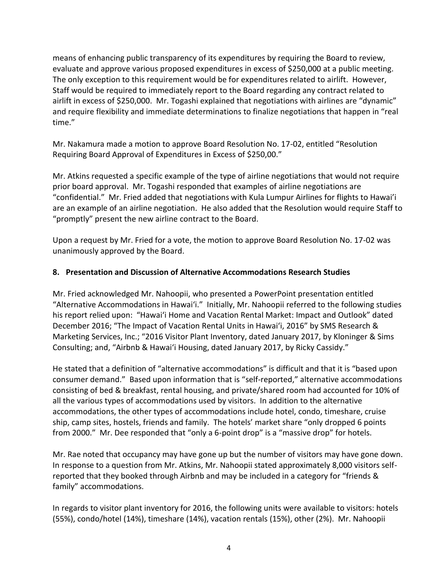means of enhancing public transparency of its expenditures by requiring the Board to review, evaluate and approve various proposed expenditures in excess of \$250,000 at a public meeting. The only exception to this requirement would be for expenditures related to airlift. However, Staff would be required to immediately report to the Board regarding any contract related to airlift in excess of \$250,000. Mr. Togashi explained that negotiations with airlines are "dynamic" and require flexibility and immediate determinations to finalize negotiations that happen in "real time."

Mr. Nakamura made a motion to approve Board Resolution No. 17-02, entitled "Resolution Requiring Board Approval of Expenditures in Excess of \$250,00."

Mr. Atkins requested a specific example of the type of airline negotiations that would not require prior board approval. Mr. Togashi responded that examples of airline negotiations are "confidential." Mr. Fried added that negotiations with Kula Lumpur Airlines for flights to Hawai'i are an example of an airline negotiation. He also added that the Resolution would require Staff to "promptly" present the new airline contract to the Board.

Upon a request by Mr. Fried for a vote, the motion to approve Board Resolution No. 17-02 was unanimously approved by the Board.

### **8. Presentation and Discussion of Alternative Accommodations Research Studies**

Mr. Fried acknowledged Mr. Nahoopii, who presented a PowerPoint presentation entitled "Alternative Accommodations in Hawai'i." Initially, Mr. Nahoopii referred to the following studies his report relied upon: "Hawai'i Home and Vacation Rental Market: Impact and Outlook" dated December 2016; "The Impact of Vacation Rental Units in Hawai'i, 2016" by SMS Research & Marketing Services, Inc.; "2016 Visitor Plant Inventory, dated January 2017, by Kloninger & Sims Consulting; and, "Airbnb & Hawai'i Housing, dated January 2017, by Ricky Cassidy."

He stated that a definition of "alternative accommodations" is difficult and that it is "based upon consumer demand." Based upon information that is "self-reported," alternative accommodations consisting of bed & breakfast, rental housing, and private/shared room had accounted for 10% of all the various types of accommodations used by visitors. In addition to the alternative accommodations, the other types of accommodations include hotel, condo, timeshare, cruise ship, camp sites, hostels, friends and family. The hotels' market share "only dropped 6 points from 2000." Mr. Dee responded that "only a 6-point drop" is a "massive drop" for hotels.

Mr. Rae noted that occupancy may have gone up but the number of visitors may have gone down. In response to a question from Mr. Atkins, Mr. Nahoopii stated approximately 8,000 visitors selfreported that they booked through Airbnb and may be included in a category for "friends & family" accommodations.

In regards to visitor plant inventory for 2016, the following units were available to visitors: hotels (55%), condo/hotel (14%), timeshare (14%), vacation rentals (15%), other (2%). Mr. Nahoopii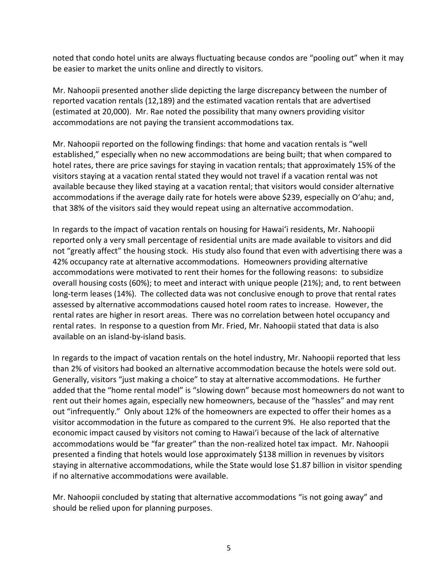noted that condo hotel units are always fluctuating because condos are "pooling out" when it may be easier to market the units online and directly to visitors.

Mr. Nahoopii presented another slide depicting the large discrepancy between the number of reported vacation rentals (12,189) and the estimated vacation rentals that are advertised (estimated at 20,000). Mr. Rae noted the possibility that many owners providing visitor accommodations are not paying the transient accommodations tax.

Mr. Nahoopii reported on the following findings: that home and vacation rentals is "well established," especially when no new accommodations are being built; that when compared to hotel rates, there are price savings for staying in vacation rentals; that approximately 15% of the visitors staying at a vacation rental stated they would not travel if a vacation rental was not available because they liked staying at a vacation rental; that visitors would consider alternative accommodations if the average daily rate for hotels were above \$239, especially on O'ahu; and, that 38% of the visitors said they would repeat using an alternative accommodation.

In regards to the impact of vacation rentals on housing for Hawai'i residents, Mr. Nahoopii reported only a very small percentage of residential units are made available to visitors and did not "greatly affect" the housing stock. His study also found that even with advertising there was a 42% occupancy rate at alternative accommodations. Homeowners providing alternative accommodations were motivated to rent their homes for the following reasons: to subsidize overall housing costs (60%); to meet and interact with unique people (21%); and, to rent between long-term leases (14%). The collected data was not conclusive enough to prove that rental rates assessed by alternative accommodations caused hotel room rates to increase. However, the rental rates are higher in resort areas. There was no correlation between hotel occupancy and rental rates. In response to a question from Mr. Fried, Mr. Nahoopii stated that data is also available on an island-by-island basis.

In regards to the impact of vacation rentals on the hotel industry, Mr. Nahoopii reported that less than 2% of visitors had booked an alternative accommodation because the hotels were sold out. Generally, visitors "just making a choice" to stay at alternative accommodations. He further added that the "home rental model" is "slowing down" because most homeowners do not want to rent out their homes again, especially new homeowners, because of the "hassles" and may rent out "infrequently." Only about 12% of the homeowners are expected to offer their homes as a visitor accommodation in the future as compared to the current 9%. He also reported that the economic impact caused by visitors not coming to Hawai'i because of the lack of alternative accommodations would be "far greater" than the non-realized hotel tax impact. Mr. Nahoopii presented a finding that hotels would lose approximately \$138 million in revenues by visitors staying in alternative accommodations, while the State would lose \$1.87 billion in visitor spending if no alternative accommodations were available.

Mr. Nahoopii concluded by stating that alternative accommodations "is not going away" and should be relied upon for planning purposes.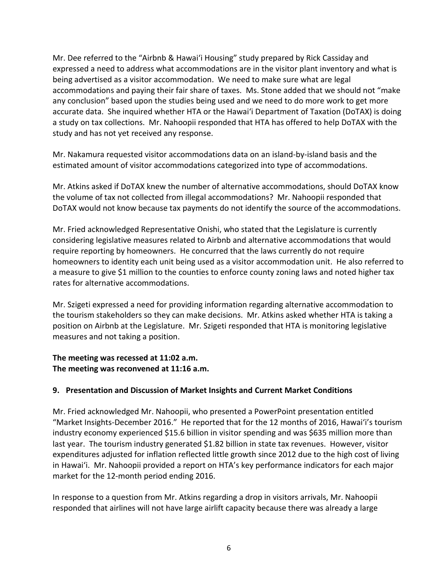Mr. Dee referred to the "Airbnb & Hawai'i Housing" study prepared by Rick Cassiday and expressed a need to address what accommodations are in the visitor plant inventory and what is being advertised as a visitor accommodation. We need to make sure what are legal accommodations and paying their fair share of taxes. Ms. Stone added that we should not "make any conclusion" based upon the studies being used and we need to do more work to get more accurate data. She inquired whether HTA or the Hawai'i Department of Taxation (DoTAX) is doing a study on tax collections. Mr. Nahoopii responded that HTA has offered to help DoTAX with the study and has not yet received any response.

Mr. Nakamura requested visitor accommodations data on an island-by-island basis and the estimated amount of visitor accommodations categorized into type of accommodations.

Mr. Atkins asked if DoTAX knew the number of alternative accommodations, should DoTAX know the volume of tax not collected from illegal accommodations? Mr. Nahoopii responded that DoTAX would not know because tax payments do not identify the source of the accommodations.

Mr. Fried acknowledged Representative Onishi, who stated that the Legislature is currently considering legislative measures related to Airbnb and alternative accommodations that would require reporting by homeowners. He concurred that the laws currently do not require homeowners to identity each unit being used as a visitor accommodation unit. He also referred to a measure to give \$1 million to the counties to enforce county zoning laws and noted higher tax rates for alternative accommodations.

Mr. Szigeti expressed a need for providing information regarding alternative accommodation to the tourism stakeholders so they can make decisions. Mr. Atkins asked whether HTA is taking a position on Airbnb at the Legislature. Mr. Szigeti responded that HTA is monitoring legislative measures and not taking a position.

### **The meeting was recessed at 11:02 a.m. The meeting was reconvened at 11:16 a.m.**

# **9. Presentation and Discussion of Market Insights and Current Market Conditions**

Mr. Fried acknowledged Mr. Nahoopii, who presented a PowerPoint presentation entitled "Market Insights-December 2016." He reported that for the 12 months of 2016, Hawai'i's tourism industry economy experienced \$15.6 billion in visitor spending and was \$635 million more than last year. The tourism industry generated \$1.82 billion in state tax revenues. However, visitor expenditures adjusted for inflation reflected little growth since 2012 due to the high cost of living in Hawai'i. Mr. Nahoopii provided a report on HTA's key performance indicators for each major market for the 12-month period ending 2016.

In response to a question from Mr. Atkins regarding a drop in visitors arrivals, Mr. Nahoopii responded that airlines will not have large airlift capacity because there was already a large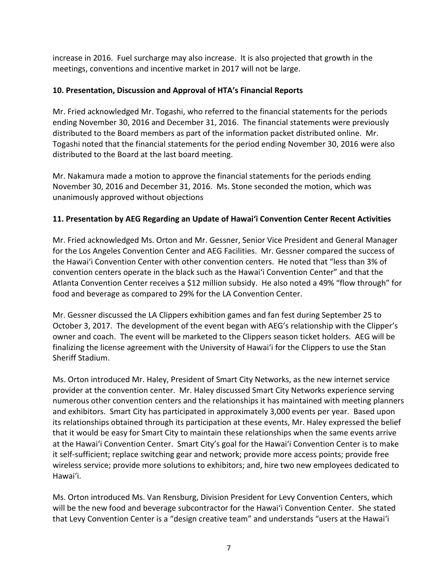increase in 2016. Fuel surcharge may also increase. It is also projected that growth in the meetings, conventions and incentive market in 2017 will not be large.

# **10. Presentation, Discussion and Approval of HTA's Financial Reports**

Mr. Fried acknowledged Mr. Togashi, who referred to the financial statements for the periods ending November 30, 2016 and December 31, 2016. The financial statements were previously distributed to the Board members as part of the information packet distributed online. Mr. Togashi noted that the financial statements for the period ending November 30, 2016 were also distributed to the Board at the last board meeting.

Mr. Nakamura made a motion to approve the financial statements for the periods ending November 30, 2016 and December 31, 2016. Ms. Stone seconded the motion, which was unanimously approved without objections

# **11. Presentation by AEG Regarding an Update of Hawai'i Convention Center Recent Activities**

Mr. Fried acknowledged Ms. Orton and Mr. Gessner, Senior Vice President and General Manager for the Los Angeles Convention Center and AEG Facilities. Mr. Gessner compared the success of the Hawai'i Convention Center with other convention centers. He noted that "less than 3% of convention centers operate in the black such as the Hawai'i Convention Center" and that the Atlanta Convention Center receives a \$12 million subsidy. He also noted a 49% "flow through" for food and beverage as compared to 29% for the LA Convention Center.

Mr. Gessner discussed the LA Clippers exhibition games and fan fest during September 25 to October 3, 2017. The development of the event began with AEG's relationship with the Clipper's owner and coach. The event will be marketed to the Clippers season ticket holders. AEG will be finalizing the license agreement with the University of Hawai'i for the Clippers to use the Stan Sheriff Stadium.

Ms. Orton introduced Mr. Haley, President of Smart City Networks, as the new internet service provider at the convention center. Mr. Haley discussed Smart City Networks experience serving numerous other convention centers and the relationships it has maintained with meeting planners and exhibitors. Smart City has participated in approximately 3,000 events per year. Based upon its relationships obtained through its participation at these events, Mr. Haley expressed the belief that it would be easy for Smart City to maintain these relationships when the same events arrive at the Hawai'i Convention Center. Smart City's goal for the Hawai'i Convention Center is to make it self-sufficient; replace switching gear and network; provide more access points; provide free wireless service; provide more solutions to exhibitors; and, hire two new employees dedicated to Hawai'i.

Ms. Orton introduced Ms. Van Rensburg, Division President for Levy Convention Centers, which will be the new food and beverage subcontractor for the Hawai'i Convention Center. She stated that Levy Convention Center is a "design creative team" and understands "users at the Hawai'i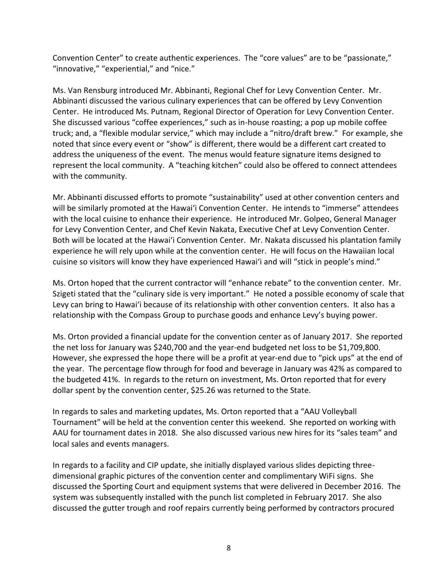Convention Center" to create authentic experiences. The "core values" are to be "passionate," "innovative," "experiential," and "nice."

Ms. Van Rensburg introduced Mr. Abbinanti, Regional Chef for Levy Convention Center. Mr. Abbinanti discussed the various culinary experiences that can be offered by Levy Convention Center. He introduced Ms. Putnam, Regional Director of Operation for Levy Convention Center. She discussed various "coffee experiences," such as in-house roasting; a pop up mobile coffee truck; and, a "flexible modular service," which may include a "nitro/draft brew." For example, she noted that since every event or "show" is different, there would be a different cart created to address the uniqueness of the event. The menus would feature signature items designed to represent the local community. A "teaching kitchen" could also be offered to connect attendees with the community.

Mr. Abbinanti discussed efforts to promote "sustainability" used at other convention centers and will be similarly promoted at the Hawai'i Convention Center. He intends to "immerse" attendees with the local cuisine to enhance their experience. He introduced Mr. Golpeo, General Manager for Levy Convention Center, and Chef Kevin Nakata, Executive Chef at Levy Convention Center. Both will be located at the Hawai'i Convention Center. Mr. Nakata discussed his plantation family experience he will rely upon while at the convention center. He will focus on the Hawaiian local cuisine so visitors will know they have experienced Hawai'i and will "stick in people's mind."

Ms. Orton hoped that the current contractor will "enhance rebate" to the convention center. Mr. Szigeti stated that the "culinary side is very important." He noted a possible economy of scale that Levy can bring to Hawai'i because of its relationship with other convention centers. It also has a relationship with the Compass Group to purchase goods and enhance Levy's buying power.

Ms. Orton provided a financial update for the convention center as of January 2017. She reported the net loss for January was \$240,700 and the year-end budgeted net loss to be \$1,709,800. However, she expressed the hope there will be a profit at year-end due to "pick ups" at the end of the year. The percentage flow through for food and beverage in January was 42% as compared to the budgeted 41%. In regards to the return on investment, Ms. Orton reported that for every dollar spent by the convention center, \$25.26 was returned to the State.

In regards to sales and marketing updates, Ms. Orton reported that a "AAU Volleyball Tournament" will be held at the convention center this weekend. She reported on working with AAU for tournament dates in 2018. She also discussed various new hires for its "sales team" and local sales and events managers.

In regards to a facility and CIP update, she initially displayed various slides depicting threedimensional graphic pictures of the convention center and complimentary WiFi signs. She discussed the Sporting Court and equipment systems that were delivered in December 2016. The system was subsequently installed with the punch list completed in February 2017. She also discussed the gutter trough and roof repairs currently being performed by contractors procured